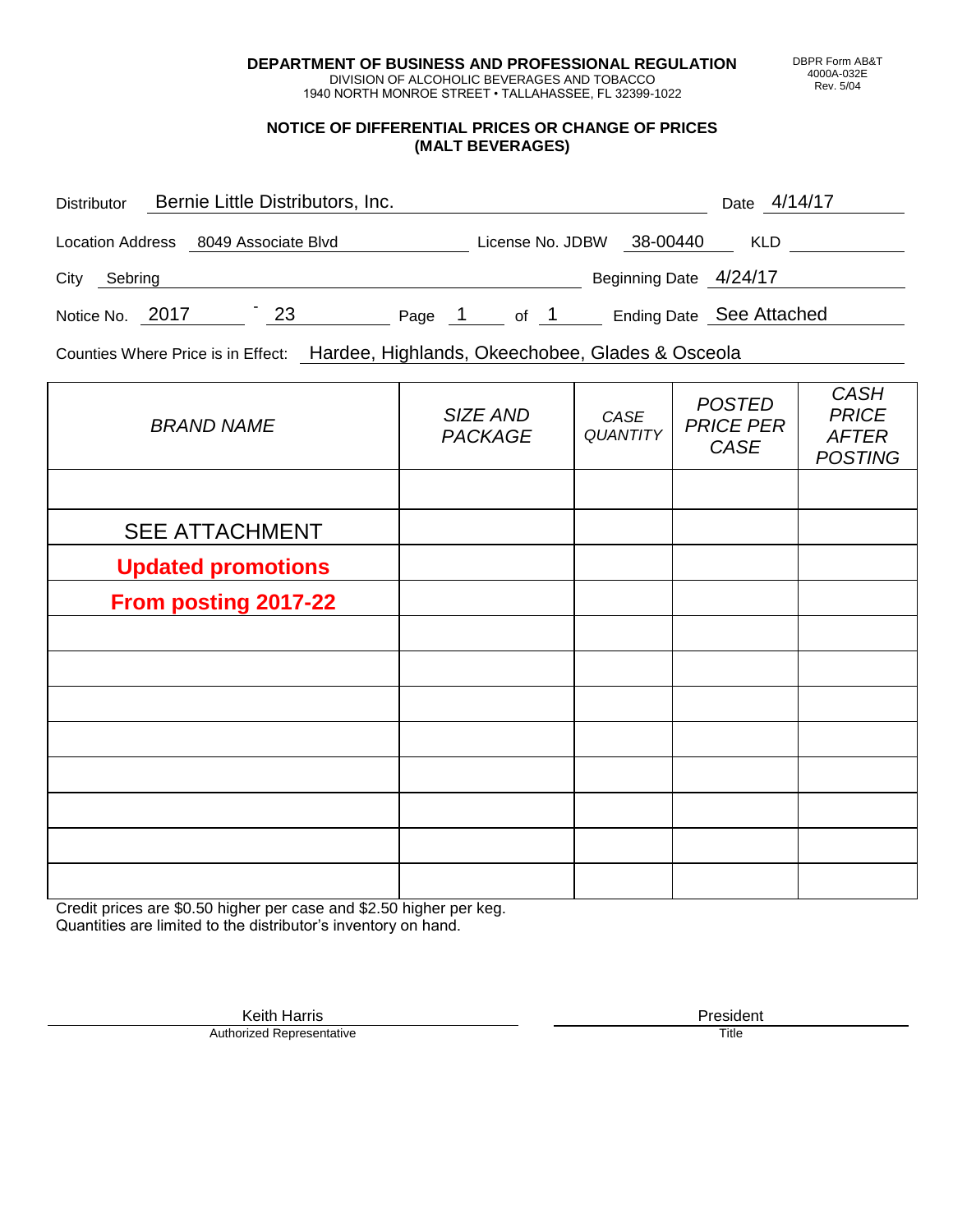**DEPARTMENT OF BUSINESS AND PROFESSIONAL REGULATION** DIVISION OF ALCOHOLIC BEVERAGES AND TOBACCO

1940 NORTH MONROE STREET • TALLAHASSEE, FL 32399-1022

#### **NOTICE OF DIFFERENTIAL PRICES OR CHANGE OF PRICES (MALT BEVERAGES)**

| <b>Distributor</b> |                 | Bernie Little Distributors, Inc.     |        |                  |      |                          | Date 4/14/17 |  |
|--------------------|-----------------|--------------------------------------|--------|------------------|------|--------------------------|--------------|--|
|                    |                 | Location Address 8049 Associate Blvd |        | License No. JDBW |      | 38-00440                 | <b>KLD</b>   |  |
| City               | Sebring         |                                      |        |                  |      | Beginning Date 4/24/17   |              |  |
|                    | Notice No. 2017 | 23                                   | Page 1 |                  | of 1 | Ending Date See Attached |              |  |

Counties Where Price is in Effect: Hardee, Highlands, Okeechobee, Glades & Osceola

| <b>BRAND NAME</b>         | SIZE AND<br><b>PACKAGE</b> | CASE<br><b>QUANTITY</b> | <b>POSTED</b><br><b>PRICE PER</b><br>CASE | <b>CASH</b><br><b>PRICE</b><br><b>AFTER</b><br><b>POSTING</b> |
|---------------------------|----------------------------|-------------------------|-------------------------------------------|---------------------------------------------------------------|
|                           |                            |                         |                                           |                                                               |
| <b>SEE ATTACHMENT</b>     |                            |                         |                                           |                                                               |
| <b>Updated promotions</b> |                            |                         |                                           |                                                               |
| From posting 2017-22      |                            |                         |                                           |                                                               |
|                           |                            |                         |                                           |                                                               |
|                           |                            |                         |                                           |                                                               |
|                           |                            |                         |                                           |                                                               |
|                           |                            |                         |                                           |                                                               |
|                           |                            |                         |                                           |                                                               |
|                           |                            |                         |                                           |                                                               |
|                           |                            |                         |                                           |                                                               |
|                           |                            |                         |                                           |                                                               |

Credit prices are \$0.50 higher per case and \$2.50 higher per keg. Quantities are limited to the distributor's inventory on hand.

> Keith Harris **President**<br> **President**<br>
> Prized Representative **President** Authorized Representative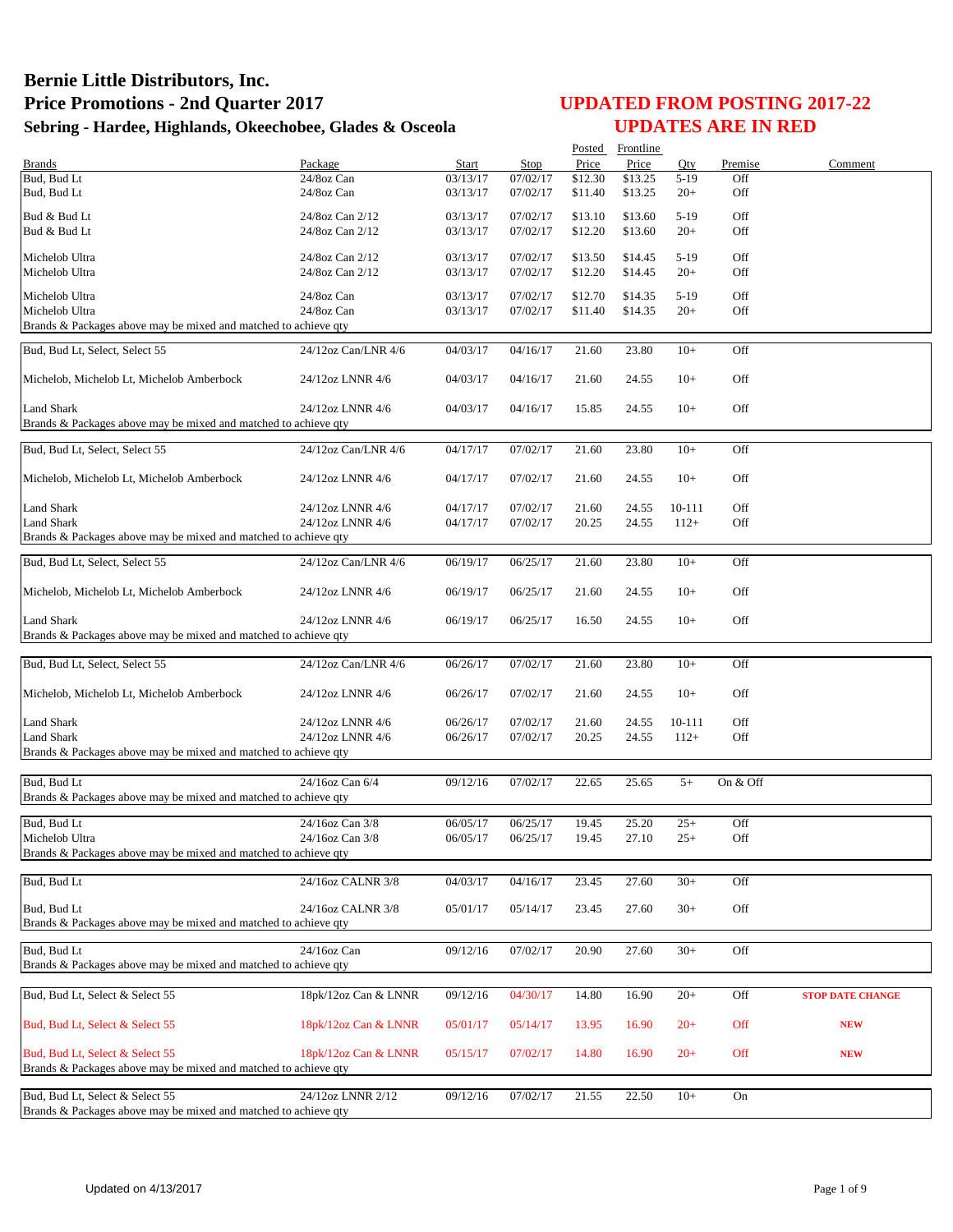|                                                                 |                                      |                      |                      |                    | Posted Frontline   |                  |            |                         |
|-----------------------------------------------------------------|--------------------------------------|----------------------|----------------------|--------------------|--------------------|------------------|------------|-------------------------|
| <b>Brands</b>                                                   | Package                              | Start                | Stop                 | Price              | Price              | Qty              | Premise    | Comment                 |
| Bud, Bud Lt<br>Bud, Bud Lt                                      | 24/8oz Can<br>24/8oz Can             | 03/13/17<br>03/13/17 | 07/02/17<br>07/02/17 | \$12.30<br>\$11.40 | \$13.25<br>\$13.25 | $5-19$<br>$20+$  | Off<br>Off |                         |
| Bud & Bud Lt                                                    | 24/8oz Can 2/12                      | 03/13/17             | 07/02/17             | \$13.10            | \$13.60            | $5-19$           | Off        |                         |
| Bud & Bud Lt                                                    | 24/8oz Can 2/12                      | 03/13/17             | 07/02/17             | \$12.20            | \$13.60            | $20+$            | Off        |                         |
| Michelob Ultra                                                  | 24/8oz Can 2/12                      | 03/13/17             | 07/02/17             | \$13.50            | \$14.45            | $5-19$           | Off        |                         |
| Michelob Ultra                                                  | 24/8oz Can 2/12                      | 03/13/17             | 07/02/17             | \$12.20            | \$14.45            | $20+$            | Off        |                         |
| Michelob Ultra                                                  | 24/8oz Can                           | 03/13/17             | 07/02/17             | \$12.70            | \$14.35            | $5-19$           | Off        |                         |
| Michelob Ultra                                                  | 24/8oz Can                           | 03/13/17             | 07/02/17             | \$11.40            | \$14.35            | $20+$            | Off        |                         |
| Brands & Packages above may be mixed and matched to achieve qty |                                      |                      |                      |                    |                    |                  |            |                         |
| Bud, Bud Lt, Select, Select 55                                  | 24/12oz Can/LNR 4/6                  | 04/03/17             | 04/16/17             | 21.60              | 23.80              | $10+$            | Off        |                         |
| Michelob, Michelob Lt, Michelob Amberbock                       | 24/12oz LNNR 4/6                     | 04/03/17             | 04/16/17             | 21.60              | 24.55              | $10+$            | Off        |                         |
| <b>Land Shark</b>                                               | 24/12oz LNNR 4/6                     | 04/03/17             | 04/16/17             | 15.85              | 24.55              | $10+$            | Off        |                         |
| Brands & Packages above may be mixed and matched to achieve qty |                                      |                      |                      |                    |                    |                  |            |                         |
| Bud, Bud Lt, Select, Select 55                                  | 24/12oz Can/LNR 4/6                  | 04/17/17             | 07/02/17             | 21.60              | 23.80              | $10+$            | Off        |                         |
| Michelob, Michelob Lt, Michelob Amberbock                       | 24/12oz LNNR 4/6                     | 04/17/17             | 07/02/17             | 21.60              | 24.55              | $10+$            | Off        |                         |
| Land Shark                                                      | 24/12oz LNNR 4/6                     | 04/17/17             | 07/02/17             | 21.60              | 24.55              | 10-111           | Off        |                         |
| <b>Land Shark</b>                                               | 24/12oz LNNR 4/6                     | 04/17/17             | 07/02/17             | 20.25              | 24.55              | $112+$           | Off        |                         |
| Brands & Packages above may be mixed and matched to achieve qty |                                      |                      |                      |                    |                    |                  |            |                         |
| Bud, Bud Lt, Select, Select 55                                  | 24/12oz Can/LNR 4/6                  | 06/19/17             | 06/25/17             | 21.60              | 23.80              | $10+$            | Off        |                         |
|                                                                 |                                      |                      |                      |                    |                    |                  |            |                         |
| Michelob, Michelob Lt, Michelob Amberbock                       | 24/12oz LNNR 4/6                     | 06/19/17             | 06/25/17             | 21.60              | 24.55              | $10+$            | Off        |                         |
| <b>Land Shark</b>                                               | 24/12oz LNNR 4/6                     | 06/19/17             | 06/25/17             | 16.50              | 24.55              | $10+$            | Off        |                         |
| Brands & Packages above may be mixed and matched to achieve qty |                                      |                      |                      |                    |                    |                  |            |                         |
| Bud, Bud Lt, Select, Select 55                                  | 24/12oz Can/LNR 4/6                  | 06/26/17             | 07/02/17             | 21.60              | 23.80              | $10+$            | Off        |                         |
| Michelob, Michelob Lt, Michelob Amberbock                       | 24/12oz LNNR 4/6                     | 06/26/17             | 07/02/17             | 21.60              | 24.55              | $10+$            | Off        |                         |
|                                                                 |                                      |                      |                      |                    |                    |                  |            |                         |
| <b>Land Shark</b><br><b>Land Shark</b>                          | 24/12oz LNNR 4/6<br>24/12oz LNNR 4/6 | 06/26/17<br>06/26/17 | 07/02/17<br>07/02/17 | 21.60<br>20.25     | 24.55<br>24.55     | 10-111<br>$112+$ | Off<br>Off |                         |
| Brands & Packages above may be mixed and matched to achieve qty |                                      |                      |                      |                    |                    |                  |            |                         |
|                                                                 |                                      |                      |                      |                    |                    |                  |            |                         |
| Bud, Bud Lt                                                     | 24/16oz Can 6/4                      | 09/12/16             | 07/02/17             | 22.65              | 25.65              | $5+$             | On & Off   |                         |
| Brands & Packages above may be mixed and matched to achieve qty |                                      |                      |                      |                    |                    |                  |            |                         |
| Bud, Bud Lt                                                     | 24/16oz Can 3/8                      | 06/05/17             | 06/25/17             | 19.45              | 25.20              | $25+$            | Off        |                         |
| Michelob Ultra                                                  | 24/16oz Can 3/8                      | 06/05/17             | 06/25/17             | 19.45              | 27.10              | $25+$            | Off        |                         |
| Brands & Packages above may be mixed and matched to achieve qty |                                      |                      |                      |                    |                    |                  |            |                         |
| Bud, Bud Lt                                                     | 24/16oz CALNR 3/8                    | 04/03/17             | 04/16/17             | 23.45              | 27.60              | $30+$            | Off        |                         |
| Bud, Bud Lt                                                     | 24/16oz CALNR 3/8                    | 05/01/17             | 05/14/17             | 23.45              | 27.60              | $30+$            | Off        |                         |
| Brands & Packages above may be mixed and matched to achieve qty |                                      |                      |                      |                    |                    |                  |            |                         |
| Bud, Bud Lt                                                     | 24/16oz Can                          | 09/12/16             | 07/02/17             | 20.90              | 27.60              | $30+$            | Off        |                         |
| Brands & Packages above may be mixed and matched to achieve qty |                                      |                      |                      |                    |                    |                  |            |                         |
| Bud, Bud Lt, Select & Select 55                                 | 18pk/12oz Can & LNNR                 | 09/12/16             | 04/30/17             | 14.80              | 16.90              | $20+$            | Off        | <b>STOP DATE CHANGE</b> |
|                                                                 |                                      |                      |                      |                    |                    |                  |            |                         |
| Bud, Bud Lt, Select & Select 55                                 | 18pk/12oz Can & LNNR                 | 05/01/17             | 05/14/17             | 13.95              | 16.90              | $20+$            | Off        | <b>NEW</b>              |
| Bud, Bud Lt, Select & Select 55                                 | 18pk/12oz Can & LNNR                 | 05/15/17             | 07/02/17             | 14.80              | 16.90              | $20+$            | Off        | <b>NEW</b>              |
| Brands & Packages above may be mixed and matched to achieve qty |                                      |                      |                      |                    |                    |                  |            |                         |
| Bud, Bud Lt, Select & Select 55                                 | 24/12oz LNNR 2/12                    | 09/12/16             | 07/02/17             | 21.55              | 22.50              | $10+$            | On         |                         |
| Brands & Packages above may be mixed and matched to achieve qty |                                      |                      |                      |                    |                    |                  |            |                         |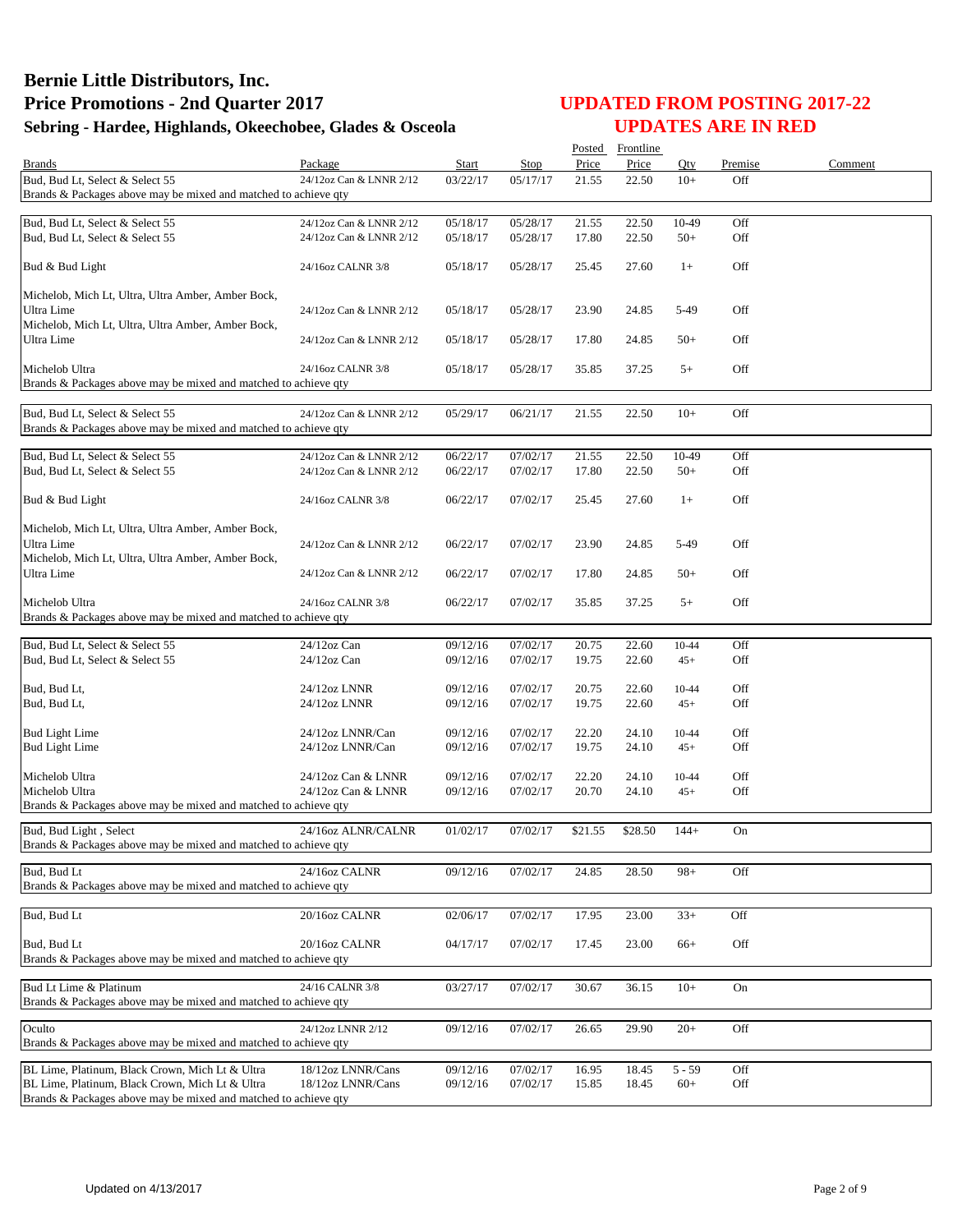|                                                                                   |                         |          |                       |         | Posted Frontline |          |         |         |
|-----------------------------------------------------------------------------------|-------------------------|----------|-----------------------|---------|------------------|----------|---------|---------|
| <b>Brands</b>                                                                     | Package                 | Start    | Stop                  | Price   | Price            | Otv      | Premise | Comment |
| Bud, Bud Lt, Select & Select 55                                                   | 24/12oz Can & LNNR 2/12 | 03/22/17 | 05/17/17              | 21.55   | 22.50            | $10+$    | Off     |         |
| Brands & Packages above may be mixed and matched to achieve qty                   |                         |          |                       |         |                  |          |         |         |
| Bud, Bud Lt, Select & Select 55                                                   | 24/12oz Can & LNNR 2/12 | 05/18/17 | $\overline{05/28/17}$ | 21.55   | 22.50            | 10-49    | Off     |         |
| Bud, Bud Lt, Select & Select 55                                                   | 24/12oz Can & LNNR 2/12 | 05/18/17 | 05/28/17              | 17.80   | 22.50            | $50+$    | Off     |         |
|                                                                                   |                         |          |                       |         |                  |          |         |         |
| Bud & Bud Light                                                                   | 24/16oz CALNR 3/8       | 05/18/17 | 05/28/17              | 25.45   | 27.60            | $1+$     | Off     |         |
| Michelob, Mich Lt, Ultra, Ultra Amber, Amber Bock,                                |                         |          |                       |         |                  |          |         |         |
| Ultra Lime                                                                        | 24/12oz Can & LNNR 2/12 | 05/18/17 | 05/28/17              | 23.90   | 24.85            | 5-49     | Off     |         |
| Michelob, Mich Lt, Ultra, Ultra Amber, Amber Bock,                                |                         |          |                       |         |                  |          |         |         |
| Ultra Lime                                                                        | 24/12oz Can & LNNR 2/12 | 05/18/17 | 05/28/17              | 17.80   | 24.85            | $50+$    | Off     |         |
|                                                                                   |                         |          |                       |         |                  |          |         |         |
| Michelob Ultra                                                                    | 24/16oz CALNR 3/8       | 05/18/17 | 05/28/17              | 35.85   | 37.25            | $5+$     | Off     |         |
| Brands & Packages above may be mixed and matched to achieve qty                   |                         |          |                       |         |                  |          |         |         |
| Bud, Bud Lt, Select & Select 55                                                   | 24/12oz Can & LNNR 2/12 | 05/29/17 | 06/21/17              | 21.55   | 22.50            | $10+$    | Off     |         |
| Brands & Packages above may be mixed and matched to achieve qty                   |                         |          |                       |         |                  |          |         |         |
|                                                                                   |                         |          |                       |         |                  |          |         |         |
| Bud, Bud Lt, Select & Select 55                                                   | 24/12oz Can & LNNR 2/12 | 06/22/17 | 07/02/17              | 21.55   | 22.50            | 10-49    | Off     |         |
| Bud, Bud Lt, Select & Select 55                                                   | 24/12oz Can & LNNR 2/12 | 06/22/17 | 07/02/17              | 17.80   | 22.50            | $50+$    | Off     |         |
|                                                                                   |                         |          |                       |         |                  |          |         |         |
| Bud & Bud Light                                                                   | 24/16oz CALNR 3/8       | 06/22/17 | 07/02/17              | 25.45   | 27.60            | $1+$     | Off     |         |
| Michelob, Mich Lt, Ultra, Ultra Amber, Amber Bock,                                |                         |          |                       |         |                  |          |         |         |
| Ultra Lime                                                                        | 24/12oz Can & LNNR 2/12 | 06/22/17 | 07/02/17              | 23.90   | 24.85            | 5-49     | Off     |         |
| Michelob, Mich Lt, Ultra, Ultra Amber, Amber Bock,                                |                         |          |                       |         |                  |          |         |         |
| Ultra Lime                                                                        | 24/12oz Can & LNNR 2/12 | 06/22/17 | 07/02/17              | 17.80   | 24.85            | $50+$    | Off     |         |
|                                                                                   |                         |          |                       |         |                  |          |         |         |
| Michelob Ultra<br>Brands & Packages above may be mixed and matched to achieve qty | 24/16oz CALNR 3/8       | 06/22/17 | 07/02/17              | 35.85   | 37.25            | $5+$     | Off     |         |
|                                                                                   |                         |          |                       |         |                  |          |         |         |
| Bud, Bud Lt, Select & Select 55                                                   | $24/12$ oz Can          | 09/12/16 | 07/02/17              | 20.75   | 22.60            | 10-44    | Off     |         |
| Bud, Bud Lt, Select & Select 55                                                   | $24/12$ oz Can          | 09/12/16 | 07/02/17              | 19.75   | 22.60            | $45+$    | Off     |         |
|                                                                                   |                         |          |                       |         |                  |          |         |         |
| Bud, Bud Lt,                                                                      | 24/12oz LNNR            | 09/12/16 | 07/02/17              | 20.75   | 22.60            | 10-44    | Off     |         |
| Bud, Bud Lt,                                                                      | 24/12oz LNNR            | 09/12/16 | 07/02/17              | 19.75   | 22.60            | $45+$    | Off     |         |
| <b>Bud Light Lime</b>                                                             | 24/12oz LNNR/Can        | 09/12/16 | 07/02/17              | 22.20   | 24.10            | 10-44    | Off     |         |
| <b>Bud Light Lime</b>                                                             | 24/12oz LNNR/Can        | 09/12/16 | 07/02/17              | 19.75   | 24.10            | $45+$    | Off     |         |
|                                                                                   |                         |          |                       |         |                  |          |         |         |
| Michelob Ultra                                                                    | 24/12oz Can & LNNR      | 09/12/16 | 07/02/17              | 22.20   | 24.10            | 10-44    | Off     |         |
| Michelob Ultra                                                                    | 24/12oz Can & LNNR      | 09/12/16 | 07/02/17              | 20.70   | 24.10            | $45+$    | Off     |         |
| Brands & Packages above may be mixed and matched to achieve qty                   |                         |          |                       |         |                  |          |         |         |
| Bud, Bud Light, Select                                                            | 24/16oz ALNR/CALNR      | 01/02/17 | 07/02/17              | \$21.55 | \$28.50          | $144+$   | On      |         |
| Brands & Packages above may be mixed and matched to achieve qty                   |                         |          |                       |         |                  |          |         |         |
| Bud, Bud Lt                                                                       | 24/16oz CALNR           | 09/12/16 | 07/02/17              | 24.85   | 28.50            | $98 +$   | Off     |         |
| Brands & Packages above may be mixed and matched to achieve qty                   |                         |          |                       |         |                  |          |         |         |
|                                                                                   |                         |          |                       |         |                  |          |         |         |
| Bud, Bud Lt                                                                       | 20/16oz CALNR           | 02/06/17 | 07/02/17              | 17.95   | 23.00            | $33+$    | Off     |         |
|                                                                                   |                         |          |                       |         |                  |          |         |         |
| Bud, Bud Lt                                                                       | 20/16oz CALNR           | 04/17/17 | 07/02/17              | 17.45   | 23.00            | $66+$    | Off     |         |
| Brands & Packages above may be mixed and matched to achieve qty                   |                         |          |                       |         |                  |          |         |         |
| Bud Lt Lime & Platinum                                                            | 24/16 CALNR 3/8         | 03/27/17 | 07/02/17              | 30.67   | 36.15            | $10+$    | On      |         |
| Brands & Packages above may be mixed and matched to achieve qty                   |                         |          |                       |         |                  |          |         |         |
|                                                                                   |                         |          |                       |         |                  |          |         |         |
| Oculto                                                                            | 24/12oz LNNR 2/12       | 09/12/16 | 07/02/17              | 26.65   | 29.90            | $20+$    | Off     |         |
| Brands & Packages above may be mixed and matched to achieve qty                   |                         |          |                       |         |                  |          |         |         |
| BL Lime, Platinum, Black Crown, Mich Lt & Ultra                                   | 18/12oz LNNR/Cans       | 09/12/16 | 07/02/17              | 16.95   | 18.45            | $5 - 59$ | Off     |         |
| BL Lime, Platinum, Black Crown, Mich Lt & Ultra                                   | 18/12oz LNNR/Cans       | 09/12/16 | 07/02/17              | 15.85   | 18.45            | $60+$    | Off     |         |
| Brands & Packages above may be mixed and matched to achieve qty                   |                         |          |                       |         |                  |          |         |         |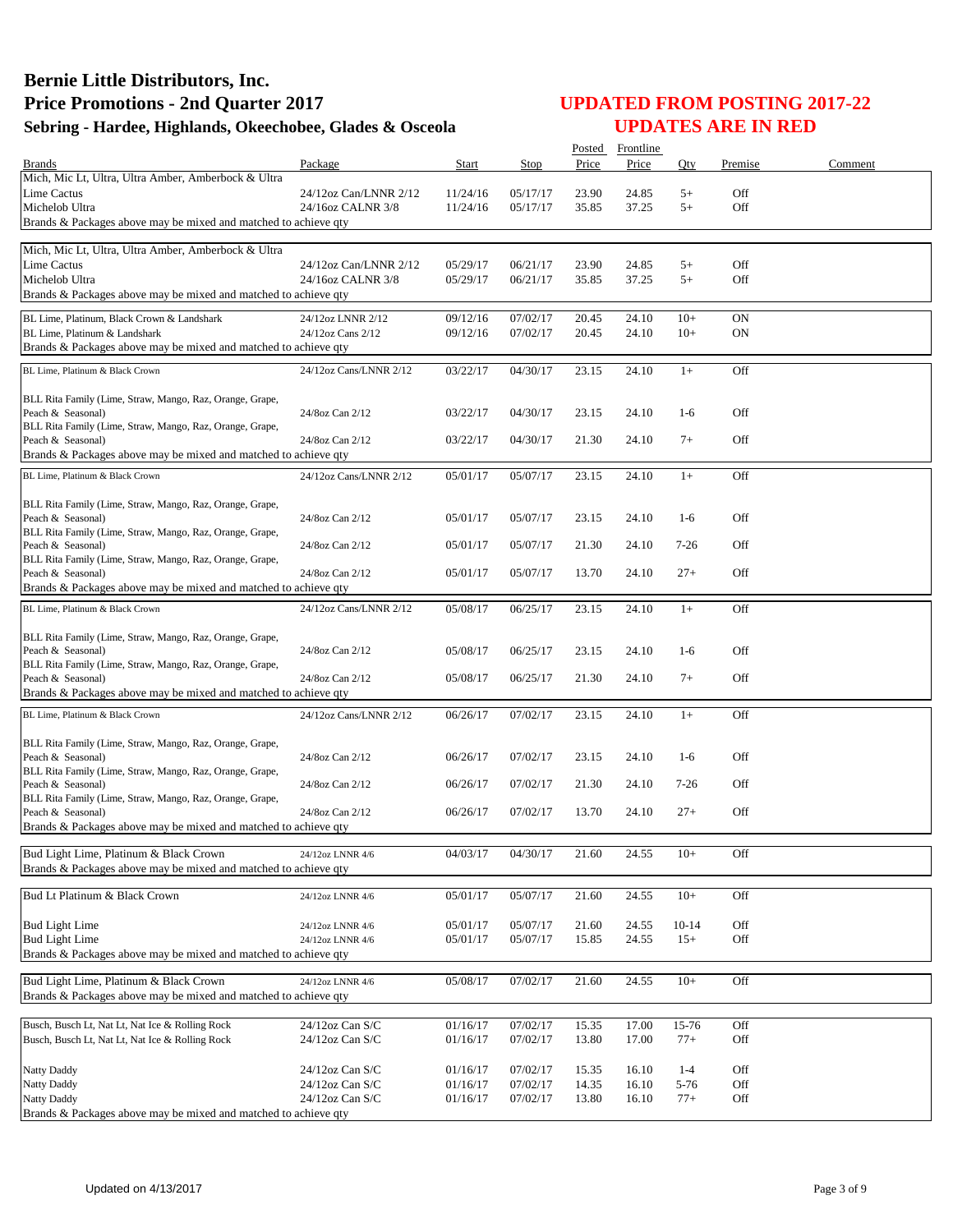|                                                                               |                        |          |          |       | Posted Frontline |         |           |         |
|-------------------------------------------------------------------------------|------------------------|----------|----------|-------|------------------|---------|-----------|---------|
| <b>Brands</b>                                                                 | Package                | Start    | Stop     | Price | Price            | Oty     | Premise   | Comment |
| Mich, Mic Lt, Ultra, Ultra Amber, Amberbock & Ultra                           |                        |          |          |       |                  |         |           |         |
| Lime Cactus                                                                   | 24/12oz Can/LNNR 2/12  | 11/24/16 | 05/17/17 | 23.90 | 24.85            | $5+$    | Off       |         |
| Michelob Ultra                                                                | 24/16oz CALNR 3/8      | 11/24/16 | 05/17/17 | 35.85 | 37.25            | $5+$    | Off       |         |
| Brands & Packages above may be mixed and matched to achieve qty               |                        |          |          |       |                  |         |           |         |
| Mich, Mic Lt, Ultra, Ultra Amber, Amberbock & Ultra                           |                        |          |          |       |                  |         |           |         |
| Lime Cactus                                                                   | 24/12oz Can/LNNR 2/12  | 05/29/17 | 06/21/17 | 23.90 | 24.85            | $5+$    | Off       |         |
| Michelob Ultra                                                                | 24/16oz CALNR 3/8      | 05/29/17 | 06/21/17 | 35.85 | 37.25            | $5+$    | Off       |         |
| Brands & Packages above may be mixed and matched to achieve qty               |                        |          |          |       |                  |         |           |         |
| BL Lime, Platinum, Black Crown & Landshark                                    | 24/12oz LNNR 2/12      | 09/12/16 | 07/02/17 | 20.45 | 24.10            | $10+$   | <b>ON</b> |         |
| BL Lime, Platinum & Landshark                                                 | 24/12oz Cans 2/12      | 09/12/16 | 07/02/17 | 20.45 | 24.10            | $10+$   | <b>ON</b> |         |
| Brands & Packages above may be mixed and matched to achieve qty               |                        |          |          |       |                  |         |           |         |
| BL Lime, Platinum & Black Crown                                               | 24/12oz Cans/LNNR 2/12 | 03/22/17 | 04/30/17 | 23.15 | 24.10            | $1+$    | Off       |         |
|                                                                               |                        |          |          |       |                  |         |           |         |
| BLL Rita Family (Lime, Straw, Mango, Raz, Orange, Grape,                      |                        |          |          |       |                  |         |           |         |
| Peach & Seasonal)                                                             | 24/8oz Can 2/12        | 03/22/17 | 04/30/17 | 23.15 | 24.10            | $1-6$   | Off       |         |
| BLL Rita Family (Lime, Straw, Mango, Raz, Orange, Grape,                      |                        |          |          |       |                  |         |           |         |
| Peach & Seasonal)                                                             | 24/8oz Can 2/12        | 03/22/17 | 04/30/17 | 21.30 | 24.10            | $7+$    | Off       |         |
| Brands & Packages above may be mixed and matched to achieve qty               |                        |          |          |       |                  |         |           |         |
| BL Lime, Platinum & Black Crown                                               | 24/12oz Cans/LNNR 2/12 | 05/01/17 | 05/07/17 | 23.15 | 24.10            | $1+$    | Off       |         |
|                                                                               |                        |          |          |       |                  |         |           |         |
| BLL Rita Family (Lime, Straw, Mango, Raz, Orange, Grape,                      |                        |          |          |       |                  |         |           |         |
| Peach & Seasonal)<br>BLL Rita Family (Lime, Straw, Mango, Raz, Orange, Grape, | 24/8oz Can 2/12        | 05/01/17 | 05/07/17 | 23.15 | 24.10            | $1-6$   | Off       |         |
| Peach & Seasonal)                                                             | 24/8oz Can 2/12        | 05/01/17 | 05/07/17 | 21.30 | 24.10            | $7-26$  | Off       |         |
| BLL Rita Family (Lime, Straw, Mango, Raz, Orange, Grape,                      |                        |          |          |       |                  |         |           |         |
| Peach & Seasonal)                                                             | 24/8oz Can 2/12        | 05/01/17 | 05/07/17 | 13.70 | 24.10            | $27+$   | Off       |         |
| Brands & Packages above may be mixed and matched to achieve qty               |                        |          |          |       |                  |         |           |         |
| BL Lime, Platinum & Black Crown                                               | 24/12oz Cans/LNNR 2/12 | 05/08/17 | 06/25/17 | 23.15 | 24.10            | $1+$    | Off       |         |
|                                                                               |                        |          |          |       |                  |         |           |         |
| BLL Rita Family (Lime, Straw, Mango, Raz, Orange, Grape,                      |                        |          |          |       |                  |         |           |         |
| Peach & Seasonal)                                                             | 24/8oz Can 2/12        | 05/08/17 | 06/25/17 | 23.15 | 24.10            | $1-6$   | Off       |         |
| BLL Rita Family (Lime, Straw, Mango, Raz, Orange, Grape,<br>Peach & Seasonal) | 24/8oz Can 2/12        | 05/08/17 | 06/25/17 | 21.30 | 24.10            | $7+$    | Off       |         |
| Brands & Packages above may be mixed and matched to achieve qty               |                        |          |          |       |                  |         |           |         |
|                                                                               |                        |          |          |       |                  |         |           |         |
| BL Lime, Platinum & Black Crown                                               | 24/12oz Cans/LNNR 2/12 | 06/26/17 | 07/02/17 | 23.15 | 24.10            | $1+$    | Off       |         |
| BLL Rita Family (Lime, Straw, Mango, Raz, Orange, Grape,                      |                        |          |          |       |                  |         |           |         |
| Peach & Seasonal)                                                             | 24/8oz Can 2/12        | 06/26/17 | 07/02/17 | 23.15 | 24.10            | $1-6$   | Off       |         |
| BLL Rita Family (Lime, Straw, Mango, Raz, Orange, Grape,                      |                        |          |          |       |                  |         |           |         |
| Peach & Seasonal)                                                             | 24/8oz Can 2/12        | 06/26/17 | 07/02/17 | 21.30 | 24.10            | $7-26$  | Off       |         |
| BLL Rita Family (Lime, Straw, Mango, Raz, Orange, Grape,                      |                        |          |          |       |                  |         |           |         |
| Peach & Seasonal)                                                             | 24/8oz Can 2/12        | 06/26/17 | 07/02/17 | 13.70 | 24.10            | $27+$   | Off       |         |
| Brands & Packages above may be mixed and matched to achieve qty               |                        |          |          |       |                  |         |           |         |
| Bud Light Lime, Platinum & Black Crown                                        | 24/12oz LNNR 4/6       | 04/03/17 | 04/30/17 | 21.60 | 24.55            | $10+$   | Off       |         |
| Brands & Packages above may be mixed and matched to achieve gty               |                        |          |          |       |                  |         |           |         |
|                                                                               |                        |          |          |       |                  |         |           |         |
| Bud Lt Platinum & Black Crown                                                 | 24/12oz LNNR 4/6       | 05/01/17 | 05/07/17 | 21.60 | 24.55            | $10+$   | Off       |         |
| <b>Bud Light Lime</b>                                                         | 24/12oz LNNR 4/6       | 05/01/17 | 05/07/17 | 21.60 | 24.55            | $10-14$ | Off       |         |
| <b>Bud Light Lime</b>                                                         | 24/12oz LNNR 4/6       | 05/01/17 | 05/07/17 | 15.85 | 24.55            | $15+$   | Off       |         |
| Brands & Packages above may be mixed and matched to achieve qty               |                        |          |          |       |                  |         |           |         |
|                                                                               |                        |          |          |       |                  |         |           |         |
| Bud Light Lime, Platinum & Black Crown                                        | 24/12oz LNNR 4/6       | 05/08/17 | 07/02/17 | 21.60 | 24.55            | $10+$   | Off       |         |
| Brands & Packages above may be mixed and matched to achieve qty               |                        |          |          |       |                  |         |           |         |
| Busch, Busch Lt, Nat Lt, Nat Ice & Rolling Rock                               | $24/12$ oz Can S/C     | 01/16/17 | 07/02/17 | 15.35 | 17.00            | 15-76   | Off       |         |
| Busch, Busch Lt, Nat Lt, Nat Ice & Rolling Rock                               | 24/12oz Can S/C        | 01/16/17 | 07/02/17 | 13.80 | 17.00            | $77+$   | Off       |         |
|                                                                               |                        |          |          |       |                  |         |           |         |
| Natty Daddy                                                                   | 24/12oz Can S/C        | 01/16/17 | 07/02/17 | 15.35 | 16.10            | $1 - 4$ | Off       |         |
| Natty Daddy                                                                   | 24/12oz Can S/C        | 01/16/17 | 07/02/17 | 14.35 | 16.10            | 5-76    | Off       |         |
| <b>Natty Daddy</b>                                                            | 24/12oz Can S/C        | 01/16/17 | 07/02/17 | 13.80 | 16.10            | $77+$   | Off       |         |
| Brands & Packages above may be mixed and matched to achieve qty               |                        |          |          |       |                  |         |           |         |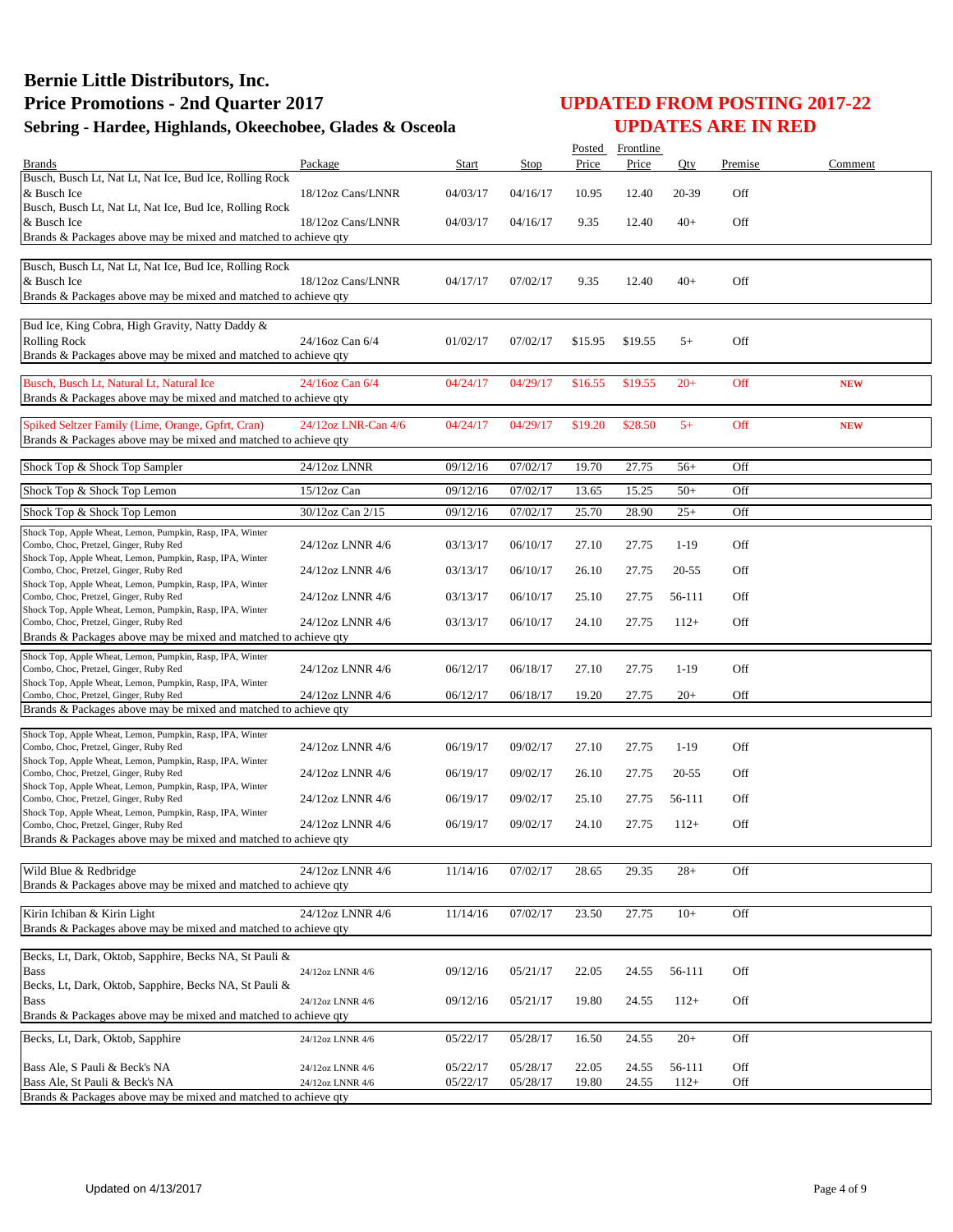|                                                                                                     |                     |          |          | Posted  | Frontline |           |         |            |
|-----------------------------------------------------------------------------------------------------|---------------------|----------|----------|---------|-----------|-----------|---------|------------|
| <b>Brands</b>                                                                                       | Package             | Start    | Stop     | Price   | Price     | Oty       | Premise | Comment    |
| Busch, Busch Lt, Nat Lt, Nat Ice, Bud Ice, Rolling Rock<br>& Busch Ice                              | 18/12oz Cans/LNNR   |          |          |         |           |           |         |            |
| Busch, Busch Lt, Nat Lt, Nat Ice, Bud Ice, Rolling Rock                                             |                     | 04/03/17 | 04/16/17 | 10.95   | 12.40     | 20-39     | Off     |            |
| & Busch Ice                                                                                         | 18/12oz Cans/LNNR   | 04/03/17 | 04/16/17 | 9.35    | 12.40     | $40+$     | Off     |            |
| Brands & Packages above may be mixed and matched to achieve qty                                     |                     |          |          |         |           |           |         |            |
|                                                                                                     |                     |          |          |         |           |           |         |            |
| Busch, Busch Lt, Nat Lt, Nat Ice, Bud Ice, Rolling Rock<br>& Busch Ice                              | 18/12oz Cans/LNNR   | 04/17/17 | 07/02/17 | 9.35    | 12.40     | $40+$     | Off     |            |
| Brands & Packages above may be mixed and matched to achieve qty                                     |                     |          |          |         |           |           |         |            |
|                                                                                                     |                     |          |          |         |           |           |         |            |
| Bud Ice, King Cobra, High Gravity, Natty Daddy &                                                    |                     |          |          |         |           |           |         |            |
| <b>Rolling Rock</b>                                                                                 | 24/16oz Can 6/4     | 01/02/17 | 07/02/17 | \$15.95 | \$19.55   | $5+$      | Off     |            |
| Brands & Packages above may be mixed and matched to achieve qty                                     |                     |          |          |         |           |           |         |            |
| Busch, Busch Lt, Natural Lt, Natural Ice                                                            | 24/16oz Can 6/4     | 04/24/17 | 04/29/17 | \$16.55 | \$19.55   | $20+$     | Off     | <b>NEW</b> |
| Brands & Packages above may be mixed and matched to achieve qty                                     |                     |          |          |         |           |           |         |            |
| Spiked Seltzer Family (Lime, Orange, Gpfrt, Cran)                                                   | 24/12oz LNR-Can 4/6 | 04/24/17 | 04/29/17 | \$19.20 | \$28.50   | $5+$      | Off     | <b>NEW</b> |
| Brands & Packages above may be mixed and matched to achieve qty                                     |                     |          |          |         |           |           |         |            |
|                                                                                                     |                     |          |          |         |           |           |         |            |
| Shock Top & Shock Top Sampler                                                                       | 24/12oz LNNR        | 09/12/16 | 07/02/17 | 19.70   | 27.75     | $56+$     | Off     |            |
| Shock Top & Shock Top Lemon                                                                         | 15/12oz Can         | 09/12/16 | 07/02/17 | 13.65   | 15.25     | $50+$     | Off     |            |
| Shock Top & Shock Top Lemon                                                                         | 30/12oz Can 2/15    | 09/12/16 | 07/02/17 | 25.70   | 28.90     | $25+$     | Off     |            |
| Shock Top, Apple Wheat, Lemon, Pumpkin, Rasp, IPA, Winter                                           |                     |          |          |         |           |           |         |            |
| Combo, Choc, Pretzel, Ginger, Ruby Red                                                              | 24/12oz LNNR 4/6    | 03/13/17 | 06/10/17 | 27.10   | 27.75     | $1-19$    | Off     |            |
| Shock Top, Apple Wheat, Lemon, Pumpkin, Rasp, IPA, Winter<br>Combo, Choc, Pretzel, Ginger, Ruby Red | 24/12oz LNNR 4/6    | 03/13/17 | 06/10/17 | 26.10   | 27.75     | 20-55     | Off     |            |
| Shock Top, Apple Wheat, Lemon, Pumpkin, Rasp, IPA, Winter                                           |                     |          |          |         |           |           |         |            |
| Combo, Choc, Pretzel, Ginger, Ruby Red                                                              | 24/12oz LNNR 4/6    | 03/13/17 | 06/10/17 | 25.10   | 27.75     | 56-111    | Off     |            |
| Shock Top, Apple Wheat, Lemon, Pumpkin, Rasp, IPA, Winter<br>Combo, Choc, Pretzel, Ginger, Ruby Red | 24/12oz LNNR 4/6    | 03/13/17 | 06/10/17 | 24.10   | 27.75     | $112+$    | Off     |            |
| Brands & Packages above may be mixed and matched to achieve qty                                     |                     |          |          |         |           |           |         |            |
| Shock Top, Apple Wheat, Lemon, Pumpkin, Rasp, IPA, Winter                                           |                     |          |          |         |           |           |         |            |
| Combo, Choc, Pretzel, Ginger, Ruby Red                                                              | 24/12oz LNNR 4/6    | 06/12/17 | 06/18/17 | 27.10   | 27.75     | $1-19$    | Off     |            |
| Shock Top, Apple Wheat, Lemon, Pumpkin, Rasp, IPA, Winter<br>Combo, Choc, Pretzel, Ginger, Ruby Red | 24/12oz LNNR 4/6    | 06/12/17 | 06/18/17 | 19.20   | 27.75     | $20+$     | Off     |            |
| Brands & Packages above may be mixed and matched to achieve qty                                     |                     |          |          |         |           |           |         |            |
| Shock Top, Apple Wheat, Lemon, Pumpkin, Rasp, IPA, Winter                                           |                     |          |          |         |           |           |         |            |
| Combo, Choc, Pretzel, Ginger, Ruby Red                                                              | 24/12oz LNNR 4/6    | 06/19/17 | 09/02/17 | 27.10   | 27.75     | $1-19$    | Off     |            |
| Shock Top, Apple Wheat, Lemon, Pumpkin, Rasp, IPA, Winter                                           |                     |          |          |         |           |           |         |            |
| Combo, Choc, Pretzel, Ginger, Ruby Red<br>Shock Top, Apple Wheat, Lemon, Pumpkin, Rasp, IPA, Winter | 24/12oz LNNR 4/6    | 06/19/17 | 09/02/17 | 26.10   | 27.75     | $20 - 55$ | Off     |            |
| Combo, Choc, Pretzel, Ginger, Ruby Red                                                              | 24/12oz LNNR 4/6    | 06/19/17 | 09/02/17 | 25.10   | 27.75     | 56-111    | Off     |            |
| Shock Top, Apple Wheat, Lemon, Pumpkin, Rasp, IPA, Winter<br>Combo, Choc, Pretzel, Ginger, Ruby Red | 24/12oz LNNR 4/6    | 06/19/17 | 09/02/17 | 24.10   | 27.75     | $112+$    | Off     |            |
| Brands & Packages above may be mixed and matched to achieve qty                                     |                     |          |          |         |           |           |         |            |
|                                                                                                     |                     |          |          |         |           |           |         |            |
| Wild Blue & Redbridge                                                                               | 24/12oz LNNR 4/6    | 11/14/16 | 07/02/17 | 28.65   | 29.35     | $28+$     | Off     |            |
| Brands & Packages above may be mixed and matched to achieve qty                                     |                     |          |          |         |           |           |         |            |
| Kirin Ichiban & Kirin Light                                                                         | 24/12oz LNNR 4/6    | 11/14/16 | 07/02/17 | 23.50   | 27.75     | $10+$     | Off     |            |
| Brands & Packages above may be mixed and matched to achieve gty                                     |                     |          |          |         |           |           |         |            |
|                                                                                                     |                     |          |          |         |           |           |         |            |
| Becks, Lt, Dark, Oktob, Sapphire, Becks NA, St Pauli &<br><b>Bass</b>                               | 24/12oz LNNR 4/6    | 09/12/16 | 05/21/17 | 22.05   | 24.55     | 56-111    | Off     |            |
| Becks, Lt, Dark, Oktob, Sapphire, Becks NA, St Pauli &                                              |                     |          |          |         |           |           |         |            |
| <b>Bass</b>                                                                                         | 24/12oz LNNR 4/6    | 09/12/16 | 05/21/17 | 19.80   | 24.55     | $112+$    | Off     |            |
| Brands & Packages above may be mixed and matched to achieve qty                                     |                     |          |          |         |           |           |         |            |
| Becks, Lt, Dark, Oktob, Sapphire                                                                    | 24/12oz LNNR 4/6    | 05/22/17 | 05/28/17 | 16.50   | 24.55     | $20+$     | Off     |            |
|                                                                                                     |                     |          |          |         |           |           |         |            |
| Bass Ale, S Pauli & Beck's NA                                                                       | 24/12oz LNNR 4/6    | 05/22/17 | 05/28/17 | 22.05   | 24.55     | 56-111    | Off     |            |
| Bass Ale, St Pauli & Beck's NA<br>Brands & Packages above may be mixed and matched to achieve qty   | 24/12oz LNNR 4/6    | 05/22/17 | 05/28/17 | 19.80   | 24.55     | $112+$    | Off     |            |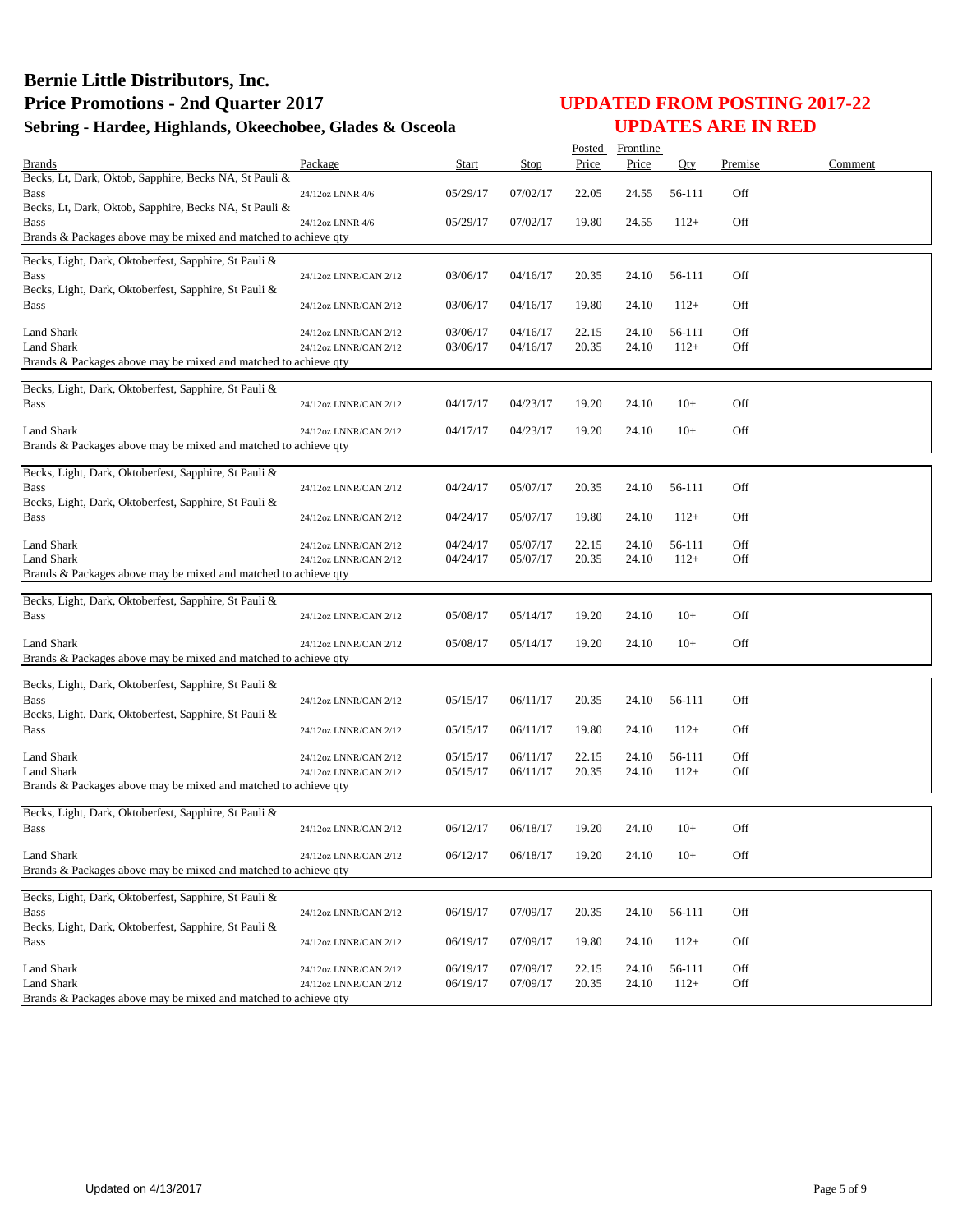|                                                                                      |                       |              |          | Posted | Frontline |        |         |         |
|--------------------------------------------------------------------------------------|-----------------------|--------------|----------|--------|-----------|--------|---------|---------|
| <b>Brands</b>                                                                        | Package               | <b>Start</b> | Stop     | Price  | Price     | Qty    | Premise | Comment |
| Becks, Lt, Dark, Oktob, Sapphire, Becks NA, St Pauli &<br><b>Bass</b>                | 24/12oz LNNR 4/6      | 05/29/17     | 07/02/17 | 22.05  | 24.55     | 56-111 | Off     |         |
| Becks, Lt, Dark, Oktob, Sapphire, Becks NA, St Pauli &<br><b>Bass</b>                | 24/12oz LNNR 4/6      | 05/29/17     | 07/02/17 | 19.80  | 24.55     | $112+$ | Off     |         |
| Brands & Packages above may be mixed and matched to achieve qty                      |                       |              |          |        |           |        |         |         |
| Becks, Light, Dark, Oktoberfest, Sapphire, St Pauli &                                |                       |              |          |        |           |        |         |         |
| <b>Bass</b><br>Becks, Light, Dark, Oktoberfest, Sapphire, St Pauli &                 | 24/12oz LNNR/CAN 2/12 | 03/06/17     | 04/16/17 | 20.35  | 24.10     | 56-111 | Off     |         |
| <b>Bass</b>                                                                          | 24/12oz LNNR/CAN 2/12 | 03/06/17     | 04/16/17 | 19.80  | 24.10     | $112+$ | Off     |         |
| <b>Land Shark</b>                                                                    | 24/12oz LNNR/CAN 2/12 | 03/06/17     | 04/16/17 | 22.15  | 24.10     | 56-111 | Off     |         |
| <b>Land Shark</b><br>Brands & Packages above may be mixed and matched to achieve qty | 24/12oz LNNR/CAN 2/12 | 03/06/17     | 04/16/17 | 20.35  | 24.10     | $112+$ | Off     |         |
|                                                                                      |                       |              |          |        |           |        |         |         |
| Becks, Light, Dark, Oktoberfest, Sapphire, St Pauli &                                |                       |              |          |        |           |        |         |         |
| <b>Bass</b>                                                                          | 24/12oz LNNR/CAN 2/12 | 04/17/17     | 04/23/17 | 19.20  | 24.10     | $10+$  | Off     |         |
| Land Shark                                                                           | 24/12oz LNNR/CAN 2/12 | 04/17/17     | 04/23/17 | 19.20  | 24.10     | $10+$  | Off     |         |
| Brands & Packages above may be mixed and matched to achieve qty                      |                       |              |          |        |           |        |         |         |
| Becks, Light, Dark, Oktoberfest, Sapphire, St Pauli &                                |                       |              |          |        |           |        |         |         |
| <b>Bass</b>                                                                          | 24/12oz LNNR/CAN 2/12 | 04/24/17     | 05/07/17 | 20.35  | 24.10     | 56-111 | Off     |         |
| Becks, Light, Dark, Oktoberfest, Sapphire, St Pauli &<br><b>Bass</b>                 | 24/12oz LNNR/CAN 2/12 | 04/24/17     | 05/07/17 | 19.80  | 24.10     | $112+$ | Off     |         |
| <b>Land Shark</b>                                                                    | 24/12oz LNNR/CAN 2/12 | 04/24/17     | 05/07/17 | 22.15  | 24.10     | 56-111 | Off     |         |
| <b>Land Shark</b>                                                                    | 24/12oz LNNR/CAN 2/12 | 04/24/17     | 05/07/17 | 20.35  | 24.10     | $112+$ | Off     |         |
| Brands & Packages above may be mixed and matched to achieve qty                      |                       |              |          |        |           |        |         |         |
| Becks, Light, Dark, Oktoberfest, Sapphire, St Pauli &                                |                       |              |          |        |           |        |         |         |
| <b>Bass</b>                                                                          | 24/12oz LNNR/CAN 2/12 | 05/08/17     | 05/14/17 | 19.20  | 24.10     | $10+$  | Off     |         |
| <b>Land Shark</b>                                                                    | 24/12oz LNNR/CAN 2/12 | 05/08/17     | 05/14/17 | 19.20  | 24.10     | $10+$  | Off     |         |
| Brands & Packages above may be mixed and matched to achieve qty                      |                       |              |          |        |           |        |         |         |
| Becks, Light, Dark, Oktoberfest, Sapphire, St Pauli &                                |                       |              |          |        |           |        |         |         |
| <b>Bass</b>                                                                          | 24/12oz LNNR/CAN 2/12 | 05/15/17     | 06/11/17 | 20.35  | 24.10     | 56-111 | Off     |         |
| Becks, Light, Dark, Oktoberfest, Sapphire, St Pauli &                                |                       |              |          |        |           |        |         |         |
| <b>Bass</b>                                                                          | 24/12oz LNNR/CAN 2/12 | 05/15/17     | 06/11/17 | 19.80  | 24.10     | $112+$ | Off     |         |
| <b>Land Shark</b>                                                                    | 24/12oz LNNR/CAN 2/12 | 05/15/17     | 06/11/17 | 22.15  | 24.10     | 56-111 | Off     |         |
| <b>Land Shark</b>                                                                    | 24/12oz LNNR/CAN 2/12 | 05/15/17     | 06/11/17 | 20.35  | 24.10     | $112+$ | Off     |         |
| Brands & Packages above may be mixed and matched to achieve qty                      |                       |              |          |        |           |        |         |         |
| Becks, Light, Dark, Oktoberfest, Sapphire, St Pauli &                                |                       |              |          |        |           |        |         |         |
| <b>Bass</b>                                                                          | 24/12oz LNNR/CAN 2/12 | 06/12/17     | 06/18/17 | 19.20  | 24.10     | $10+$  | Off     |         |
| Land Shark                                                                           | 24/12oz LNNR/CAN 2/12 | 06/12/17     | 06/18/17 | 19.20  | 24.10     | $10+$  | Off     |         |
| Brands & Packages above may be mixed and matched to achieve qty                      |                       |              |          |        |           |        |         |         |
| Becks, Light, Dark, Oktoberfest, Sapphire, St Pauli &                                |                       |              |          |        |           |        |         |         |
| <b>Bass</b>                                                                          | 24/12oz LNNR/CAN 2/12 | 06/19/17     | 07/09/17 | 20.35  | 24.10     | 56-111 | Off     |         |
| Becks, Light, Dark, Oktoberfest, Sapphire, St Pauli &                                |                       |              |          |        |           |        |         |         |
| <b>Bass</b>                                                                          | 24/12oz LNNR/CAN 2/12 | 06/19/17     | 07/09/17 | 19.80  | 24.10     | $112+$ | Off     |         |
| Land Shark                                                                           | 24/12oz LNNR/CAN 2/12 | 06/19/17     | 07/09/17 | 22.15  | 24.10     | 56-111 | Off     |         |
| <b>Land Shark</b><br>Brands & Packages above may be mixed and matched to achieve qty | 24/12oz LNNR/CAN 2/12 | 06/19/17     | 07/09/17 | 20.35  | 24.10     | $112+$ | Off     |         |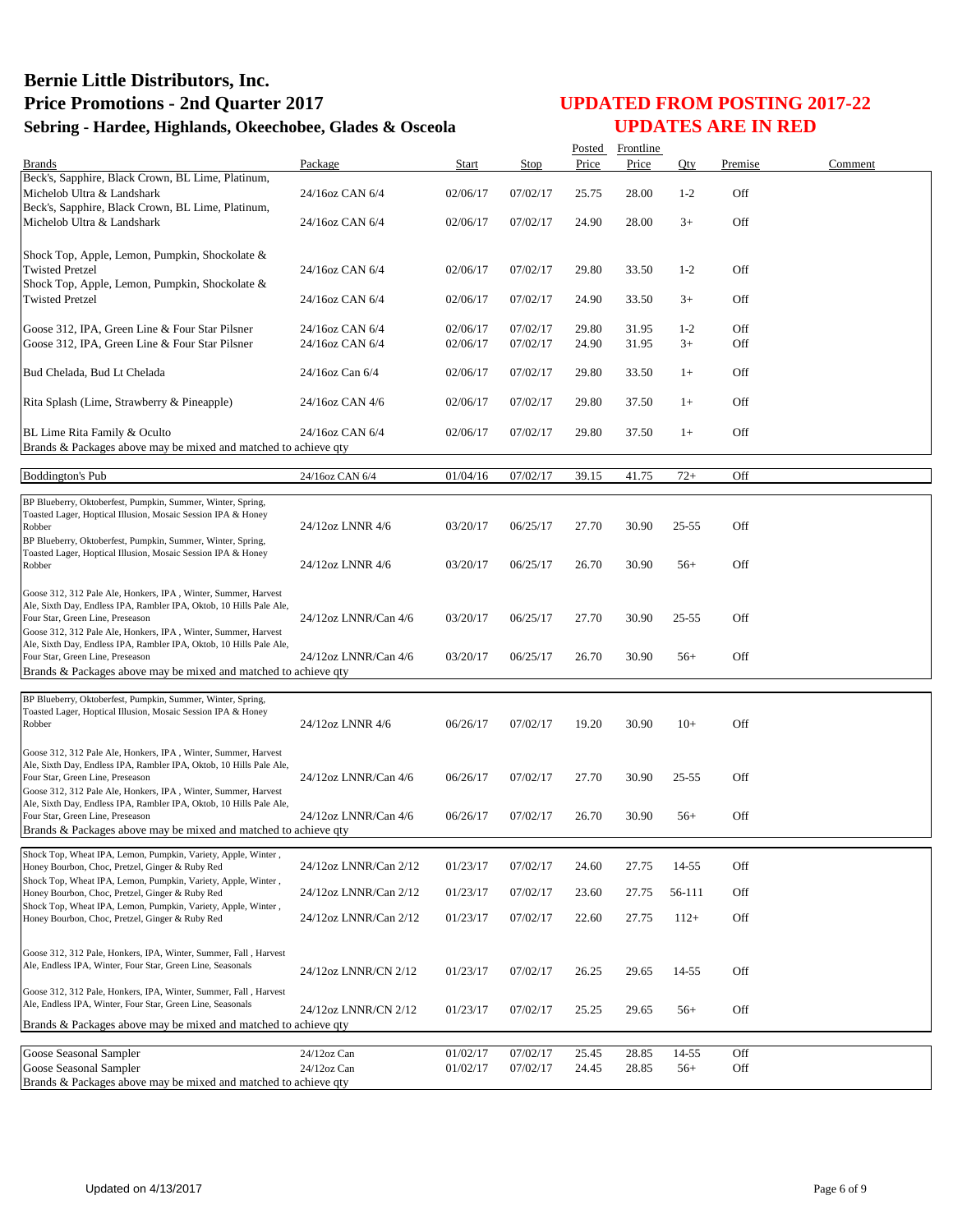|                                                                                                                                       |                       |              |          |       | Posted Frontline |           |         |         |
|---------------------------------------------------------------------------------------------------------------------------------------|-----------------------|--------------|----------|-------|------------------|-----------|---------|---------|
| <b>Brands</b><br>Beck's, Sapphire, Black Crown, BL Lime, Platinum,                                                                    | Package               | <b>Start</b> | Stop     | Price | Price            | Qty       | Premise | Comment |
| Michelob Ultra & Landshark                                                                                                            | 24/16oz CAN 6/4       | 02/06/17     | 07/02/17 | 25.75 | 28.00            | $1 - 2$   | Off     |         |
| Beck's, Sapphire, Black Crown, BL Lime, Platinum,<br>Michelob Ultra & Landshark                                                       | 24/16oz CAN 6/4       | 02/06/17     | 07/02/17 | 24.90 | 28.00            | $3+$      | Off     |         |
| Shock Top, Apple, Lemon, Pumpkin, Shockolate &                                                                                        |                       |              |          |       |                  |           |         |         |
| <b>Twisted Pretzel</b><br>Shock Top, Apple, Lemon, Pumpkin, Shockolate &                                                              | 24/16oz CAN 6/4       | 02/06/17     | 07/02/17 | 29.80 | 33.50            | $1 - 2$   | Off     |         |
| <b>Twisted Pretzel</b>                                                                                                                | 24/16oz CAN 6/4       | 02/06/17     | 07/02/17 | 24.90 | 33.50            | $3+$      | Off     |         |
| Goose 312, IPA, Green Line & Four Star Pilsner                                                                                        | 24/16oz CAN 6/4       | 02/06/17     | 07/02/17 | 29.80 | 31.95            | $1 - 2$   | Off     |         |
| Goose 312, IPA, Green Line & Four Star Pilsner                                                                                        | 24/16oz CAN 6/4       | 02/06/17     | 07/02/17 | 24.90 | 31.95            | $3+$      | Off     |         |
| Bud Chelada, Bud Lt Chelada                                                                                                           | 24/16oz Can 6/4       | 02/06/17     | 07/02/17 | 29.80 | 33.50            | $1+$      | Off     |         |
| Rita Splash (Lime, Strawberry & Pineapple)                                                                                            | 24/16oz CAN 4/6       | 02/06/17     | 07/02/17 | 29.80 | 37.50            | $1+$      | Off     |         |
| BL Lime Rita Family & Oculto<br>Brands & Packages above may be mixed and matched to achieve qty                                       | 24/16oz CAN 6/4       | 02/06/17     | 07/02/17 | 29.80 | 37.50            | $1+$      | Off     |         |
|                                                                                                                                       |                       |              |          |       |                  |           |         |         |
| <b>Boddington's Pub</b>                                                                                                               | 24/16oz CAN 6/4       | 01/04/16     | 07/02/17 | 39.15 | 41.75            | $72+$     | Off     |         |
| BP Blueberry, Oktoberfest, Pumpkin, Summer, Winter, Spring,<br>Toasted Lager, Hoptical Illusion, Mosaic Session IPA & Honey           |                       |              |          |       |                  |           |         |         |
| Robber                                                                                                                                | 24/12oz LNNR 4/6      | 03/20/17     | 06/25/17 | 27.70 | 30.90            | 25-55     | Off     |         |
| BP Blueberry, Oktoberfest, Pumpkin, Summer, Winter, Spring,<br>Toasted Lager, Hoptical Illusion, Mosaic Session IPA & Honey           |                       |              |          |       |                  |           |         |         |
| Robber                                                                                                                                | 24/12oz LNNR 4/6      | 03/20/17     | 06/25/17 | 26.70 | 30.90            | $56+$     | Off     |         |
| Goose 312, 312 Pale Ale, Honkers, IPA, Winter, Summer, Harvest<br>Ale, Sixth Day, Endless IPA, Rambler IPA, Oktob, 10 Hills Pale Ale, |                       |              |          |       |                  |           |         |         |
| Four Star, Green Line, Preseason<br>Goose 312, 312 Pale Ale, Honkers, IPA, Winter, Summer, Harvest                                    | 24/12oz LNNR/Can 4/6  | 03/20/17     | 06/25/17 | 27.70 | 30.90            | $25 - 55$ | Off     |         |
| Ale, Sixth Day, Endless IPA, Rambler IPA, Oktob, 10 Hills Pale Ale,<br>Four Star, Green Line, Preseason                               | 24/12oz LNNR/Can 4/6  | 03/20/17     | 06/25/17 | 26.70 | 30.90            | $56+$     | Off     |         |
| Brands & Packages above may be mixed and matched to achieve qty                                                                       |                       |              |          |       |                  |           |         |         |
| BP Blueberry, Oktoberfest, Pumpkin, Summer, Winter, Spring,                                                                           |                       |              |          |       |                  |           |         |         |
| Toasted Lager, Hoptical Illusion, Mosaic Session IPA & Honey<br>Robber                                                                | 24/12oz LNNR 4/6      | 06/26/17     | 07/02/17 | 19.20 | 30.90            | $10+$     | Off     |         |
| Goose 312, 312 Pale Ale, Honkers, IPA, Winter, Summer, Harvest                                                                        |                       |              |          |       |                  |           |         |         |
| Ale, Sixth Day, Endless IPA, Rambler IPA, Oktob, 10 Hills Pale Ale,<br>Four Star, Green Line, Preseason                               | 24/12oz LNNR/Can 4/6  | 06/26/17     | 07/02/17 | 27.70 | 30.90            | $25 - 55$ | Off     |         |
| Goose 312, 312 Pale Ale, Honkers, IPA, Winter, Summer, Harvest                                                                        |                       |              |          |       |                  |           |         |         |
| Ale, Sixth Day, Endless IPA, Rambler IPA, Oktob, 10 Hills Pale Ale,<br>Four Star, Green Line, Preseason                               | 24/12oz LNNR/Can 4/6  | 06/26/17     | 07/02/17 | 26.70 | 30.90            | $56+$     | Off     |         |
| Brands & Packages above may be mixed and matched to achieve qty                                                                       |                       |              |          |       |                  |           |         |         |
| Shock Top, Wheat IPA, Lemon, Pumpkin, Variety, Apple, Winter,<br>Honey Bourbon, Choc, Pretzel, Ginger & Ruby Red                      | 24/12oz LNNR/Can 2/12 | 01/23/17     | 07/02/17 | 24.60 | 27.75            | 14-55     | Off     |         |
| Shock Top, Wheat IPA, Lemon, Pumpkin, Variety, Apple, Winter,<br>Honey Bourbon, Choc, Pretzel, Ginger & Ruby Red                      | 24/12oz LNNR/Can 2/12 | 01/23/17     | 07/02/17 | 23.60 | 27.75            | 56-111    | Off     |         |
| Shock Top, Wheat IPA, Lemon, Pumpkin, Variety, Apple, Winter,<br>Honey Bourbon, Choc, Pretzel, Ginger & Ruby Red                      | 24/12oz LNNR/Can 2/12 | 01/23/17     | 07/02/17 | 22.60 | 27.75            | $112+$    | Off     |         |
|                                                                                                                                       |                       |              |          |       |                  |           |         |         |
| Goose 312, 312 Pale, Honkers, IPA, Winter, Summer, Fall, Harvest<br>Ale, Endless IPA, Winter, Four Star, Green Line, Seasonals        |                       |              |          |       |                  |           |         |         |
|                                                                                                                                       | 24/12oz LNNR/CN 2/12  | 01/23/17     | 07/02/17 | 26.25 | 29.65            | 14-55     | Off     |         |
| Goose 312, 312 Pale, Honkers, IPA, Winter, Summer, Fall, Harvest<br>Ale, Endless IPA, Winter, Four Star, Green Line, Seasonals        | 24/12oz LNNR/CN 2/12  | 01/23/17     | 07/02/17 | 25.25 | 29.65            | $56+$     | Off     |         |
| Brands & Packages above may be mixed and matched to achieve qty                                                                       |                       |              |          |       |                  |           |         |         |
| Goose Seasonal Sampler                                                                                                                | 24/12oz Can           | 01/02/17     | 07/02/17 | 25.45 | 28.85            | 14-55     | Off     |         |
| Goose Seasonal Sampler                                                                                                                | 24/12oz Can           | 01/02/17     | 07/02/17 | 24.45 | 28.85            | $56+$     | Off     |         |
| Brands & Packages above may be mixed and matched to achieve qty                                                                       |                       |              |          |       |                  |           |         |         |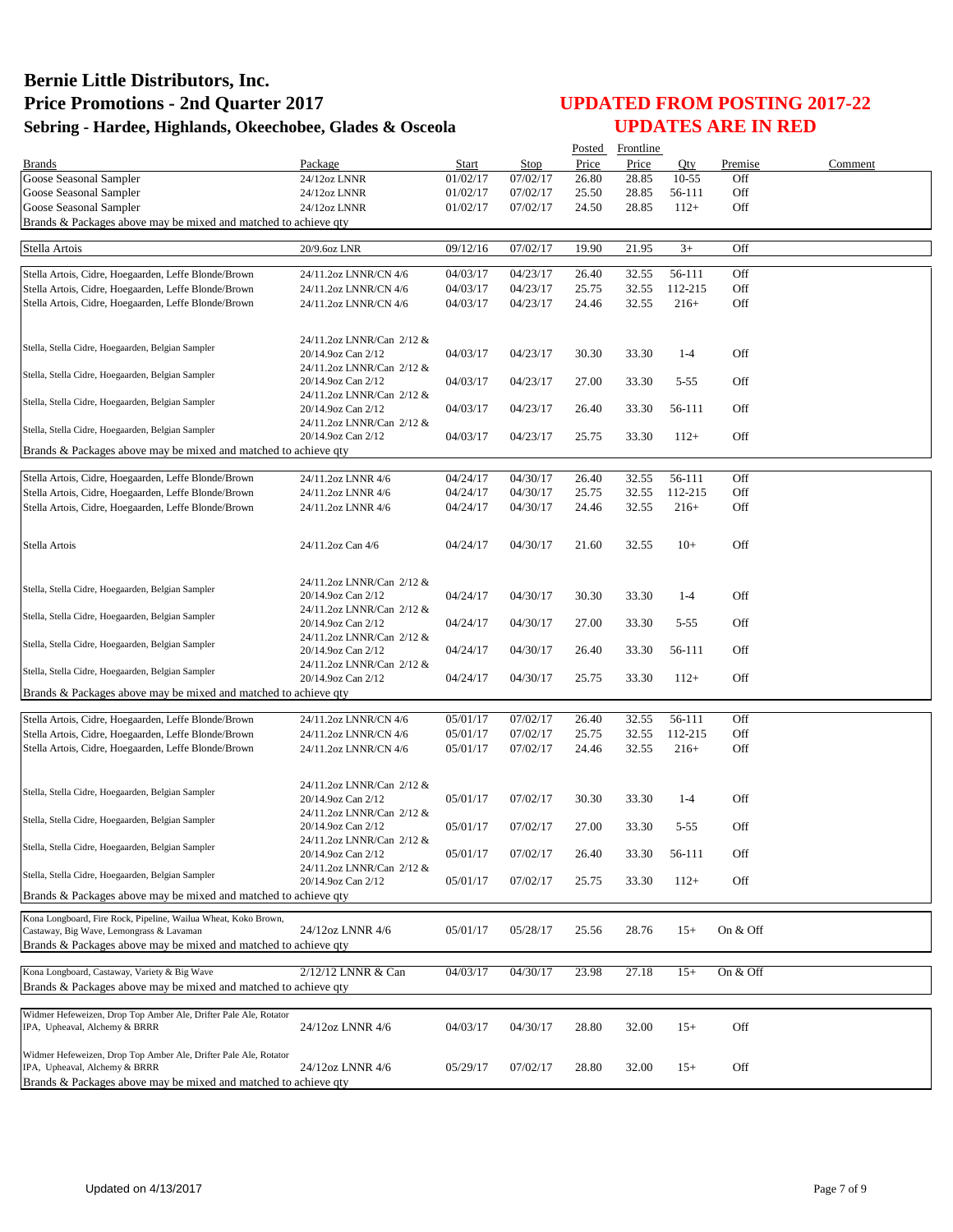|                                                                                                            |                                                 |          |          |       | Posted Frontline |           |          |         |
|------------------------------------------------------------------------------------------------------------|-------------------------------------------------|----------|----------|-------|------------------|-----------|----------|---------|
| <b>Brands</b>                                                                                              | Package                                         | Start    | Stop     | Price | Price            | Oty       | Premise  | Comment |
| Goose Seasonal Sampler                                                                                     | 24/12oz LNNR                                    | 01/02/17 | 07/02/17 | 26.80 | 28.85            | $10 - 55$ | Off      |         |
| Goose Seasonal Sampler                                                                                     | 24/12oz LNNR                                    | 01/02/17 | 07/02/17 | 25.50 | 28.85            | 56-111    | Off      |         |
| Goose Seasonal Sampler                                                                                     | 24/12oz LNNR                                    | 01/02/17 | 07/02/17 | 24.50 | 28.85            | $112+$    | Off      |         |
| Brands & Packages above may be mixed and matched to achieve qty                                            |                                                 |          |          |       |                  |           |          |         |
| Stella Artois                                                                                              | 20/9.6oz LNR                                    | 09/12/16 | 07/02/17 | 19.90 | 21.95            | $3+$      | Off      |         |
|                                                                                                            |                                                 |          |          |       |                  |           |          |         |
| Stella Artois, Cidre, Hoegaarden, Leffe Blonde/Brown                                                       | 24/11.2oz LNNR/CN 4/6                           | 04/03/17 | 04/23/17 | 26.40 | 32.55            | 56-111    | Off      |         |
| Stella Artois, Cidre, Hoegaarden, Leffe Blonde/Brown                                                       | 24/11.2oz LNNR/CN 4/6                           | 04/03/17 | 04/23/17 | 25.75 | 32.55            | 112-215   | Off      |         |
| Stella Artois, Cidre, Hoegaarden, Leffe Blonde/Brown                                                       | 24/11.2oz LNNR/CN 4/6                           | 04/03/17 | 04/23/17 | 24.46 | 32.55            | $216+$    | Off      |         |
|                                                                                                            |                                                 |          |          |       |                  |           |          |         |
|                                                                                                            | 24/11.2oz LNNR/Can 2/12 &                       |          |          |       |                  |           |          |         |
| Stella, Stella Cidre, Hoegaarden, Belgian Sampler                                                          | 20/14.9oz Can 2/12                              | 04/03/17 | 04/23/17 | 30.30 | 33.30            | $1 - 4$   | Off      |         |
| Stella, Stella Cidre, Hoegaarden, Belgian Sampler                                                          | 24/11.2oz LNNR/Can 2/12 &                       |          |          |       |                  |           |          |         |
|                                                                                                            | 20/14.9oz Can 2/12                              | 04/03/17 | 04/23/17 | 27.00 | 33.30            | $5 - 55$  | Off      |         |
| Stella, Stella Cidre, Hoegaarden, Belgian Sampler                                                          | 24/11.2oz LNNR/Can 2/12 &                       |          |          |       |                  |           |          |         |
|                                                                                                            | 20/14.9oz Can 2/12                              | 04/03/17 | 04/23/17 | 26.40 | 33.30            | 56-111    | Off      |         |
| Stella, Stella Cidre, Hoegaarden, Belgian Sampler                                                          | 24/11.2oz LNNR/Can 2/12 &                       |          |          |       | 33.30            | $112+$    | Off      |         |
| Brands & Packages above may be mixed and matched to achieve qty                                            | 20/14.9oz Can 2/12                              | 04/03/17 | 04/23/17 | 25.75 |                  |           |          |         |
|                                                                                                            |                                                 |          |          |       |                  |           |          |         |
| Stella Artois, Cidre, Hoegaarden, Leffe Blonde/Brown                                                       | 24/11.2oz LNNR 4/6                              | 04/24/17 | 04/30/17 | 26.40 | 32.55            | 56-111    | Off      |         |
| Stella Artois, Cidre, Hoegaarden, Leffe Blonde/Brown                                                       | 24/11.2oz LNNR 4/6                              | 04/24/17 | 04/30/17 | 25.75 | 32.55            | 112-215   | Off      |         |
| Stella Artois, Cidre, Hoegaarden, Leffe Blonde/Brown                                                       | 24/11.2oz LNNR 4/6                              | 04/24/17 | 04/30/17 | 24.46 | 32.55            | $216+$    | Off      |         |
|                                                                                                            |                                                 |          |          |       |                  |           |          |         |
|                                                                                                            |                                                 |          |          | 21.60 |                  | $10+$     | Off      |         |
| Stella Artois                                                                                              | 24/11.2oz Can 4/6                               | 04/24/17 | 04/30/17 |       | 32.55            |           |          |         |
|                                                                                                            |                                                 |          |          |       |                  |           |          |         |
| Stella, Stella Cidre, Hoegaarden, Belgian Sampler                                                          | 24/11.2oz LNNR/Can 2/12 &                       |          |          |       |                  |           |          |         |
|                                                                                                            | 20/14.9oz Can 2/12                              | 04/24/17 | 04/30/17 | 30.30 | 33.30            | $1-4$     | Off      |         |
| Stella, Stella Cidre, Hoegaarden, Belgian Sampler                                                          | 24/11.2oz LNNR/Can 2/12 &                       |          |          |       |                  |           |          |         |
|                                                                                                            | 20/14.9oz Can 2/12<br>24/11.2oz LNNR/Can 2/12 & | 04/24/17 | 04/30/17 | 27.00 | 33.30            | $5 - 55$  | Off      |         |
| Stella, Stella Cidre, Hoegaarden, Belgian Sampler                                                          | 20/14.9oz Can 2/12                              | 04/24/17 | 04/30/17 | 26.40 | 33.30            | 56-111    | Off      |         |
|                                                                                                            | 24/11.2oz LNNR/Can 2/12 &                       |          |          |       |                  |           |          |         |
| Stella, Stella Cidre, Hoegaarden, Belgian Sampler                                                          | 20/14.9oz Can 2/12                              | 04/24/17 | 04/30/17 | 25.75 | 33.30            | $112+$    | Off      |         |
| Brands & Packages above may be mixed and matched to achieve qty                                            |                                                 |          |          |       |                  |           |          |         |
|                                                                                                            |                                                 |          |          |       |                  |           |          |         |
| Stella Artois, Cidre, Hoegaarden, Leffe Blonde/Brown                                                       | 24/11.2oz LNNR/CN 4/6                           | 05/01/17 | 07/02/17 | 26.40 | 32.55            | 56-111    | Off      |         |
| Stella Artois, Cidre, Hoegaarden, Leffe Blonde/Brown                                                       | 24/11.2oz LNNR/CN 4/6                           | 05/01/17 | 07/02/17 | 25.75 | 32.55            | 112-215   | Off      |         |
| Stella Artois, Cidre, Hoegaarden, Leffe Blonde/Brown                                                       | 24/11.2oz LNNR/CN 4/6                           | 05/01/17 | 07/02/17 | 24.46 | 32.55            | $216+$    | Off      |         |
|                                                                                                            |                                                 |          |          |       |                  |           |          |         |
| Stella, Stella Cidre, Hoegaarden, Belgian Sampler                                                          | 24/11.2oz LNNR/Can 2/12 &                       |          |          |       |                  |           |          |         |
|                                                                                                            | 20/14.9oz Can 2/12                              | 05/01/17 | 07/02/17 | 30.30 | 33.30            | $1 - 4$   | Off      |         |
| Stella, Stella Cidre, Hoegaarden, Belgian Sampler                                                          | 24/11.2oz LNNR/Can 2/12 &                       |          |          |       |                  |           |          |         |
|                                                                                                            | 20/14.9oz Can 2/12                              | 05/01/17 | 07/02/17 | 27.00 | 33.30            | $5 - 55$  | Off      |         |
| Stella, Stella Cidre, Hoegaarden, Belgian Sampler                                                          | 24/11.2oz LNNR/Can 2/12 &<br>20/14.9oz Can 2/12 | 05/01/17 |          |       |                  | 56-111    | Off      |         |
|                                                                                                            | 24/11.2oz LNNR/Can 2/12 &                       |          | 07/02/17 | 26.40 | 33.30            |           |          |         |
| Stella, Stella Cidre, Hoegaarden, Belgian Sampler                                                          | 20/14.9oz Can 2/12                              | 05/01/17 | 07/02/17 | 25.75 | 33.30            | $112+$    | Off      |         |
| Brands & Packages above may be mixed and matched to achieve qty                                            |                                                 |          |          |       |                  |           |          |         |
|                                                                                                            |                                                 |          |          |       |                  |           |          |         |
| Kona Longboard, Fire Rock, Pipeline, Wailua Wheat, Koko Brown,<br>Castaway, Big Wave, Lemongrass & Lavaman | 24/12oz LNNR 4/6                                | 05/01/17 | 05/28/17 | 25.56 | 28.76            | $15+$     | On & Off |         |
| Brands & Packages above may be mixed and matched to achieve gty                                            |                                                 |          |          |       |                  |           |          |         |
|                                                                                                            |                                                 |          |          |       |                  |           |          |         |
| Kona Longboard, Castaway, Variety & Big Wave                                                               | 2/12/12 LNNR & Can                              | 04/03/17 | 04/30/17 | 23.98 | 27.18            | $15+$     | On & Off |         |
| Brands & Packages above may be mixed and matched to achieve qty                                            |                                                 |          |          |       |                  |           |          |         |
|                                                                                                            |                                                 |          |          |       |                  |           |          |         |
| Widmer Hefeweizen, Drop Top Amber Ale, Drifter Pale Ale, Rotator<br>IPA, Upheaval, Alchemy & BRRR          | 24/12oz LNNR 4/6                                | 04/03/17 |          |       |                  |           | Off      |         |
|                                                                                                            |                                                 |          | 04/30/17 | 28.80 | 32.00            | $15+$     |          |         |
| Widmer Hefeweizen, Drop Top Amber Ale, Drifter Pale Ale, Rotator                                           |                                                 |          |          |       |                  |           |          |         |
| IPA, Upheaval, Alchemy & BRRR                                                                              | 24/12oz LNNR 4/6                                | 05/29/17 | 07/02/17 | 28.80 | 32.00            | $15+$     | Off      |         |
| Brands & Packages above may be mixed and matched to achieve qty                                            |                                                 |          |          |       |                  |           |          |         |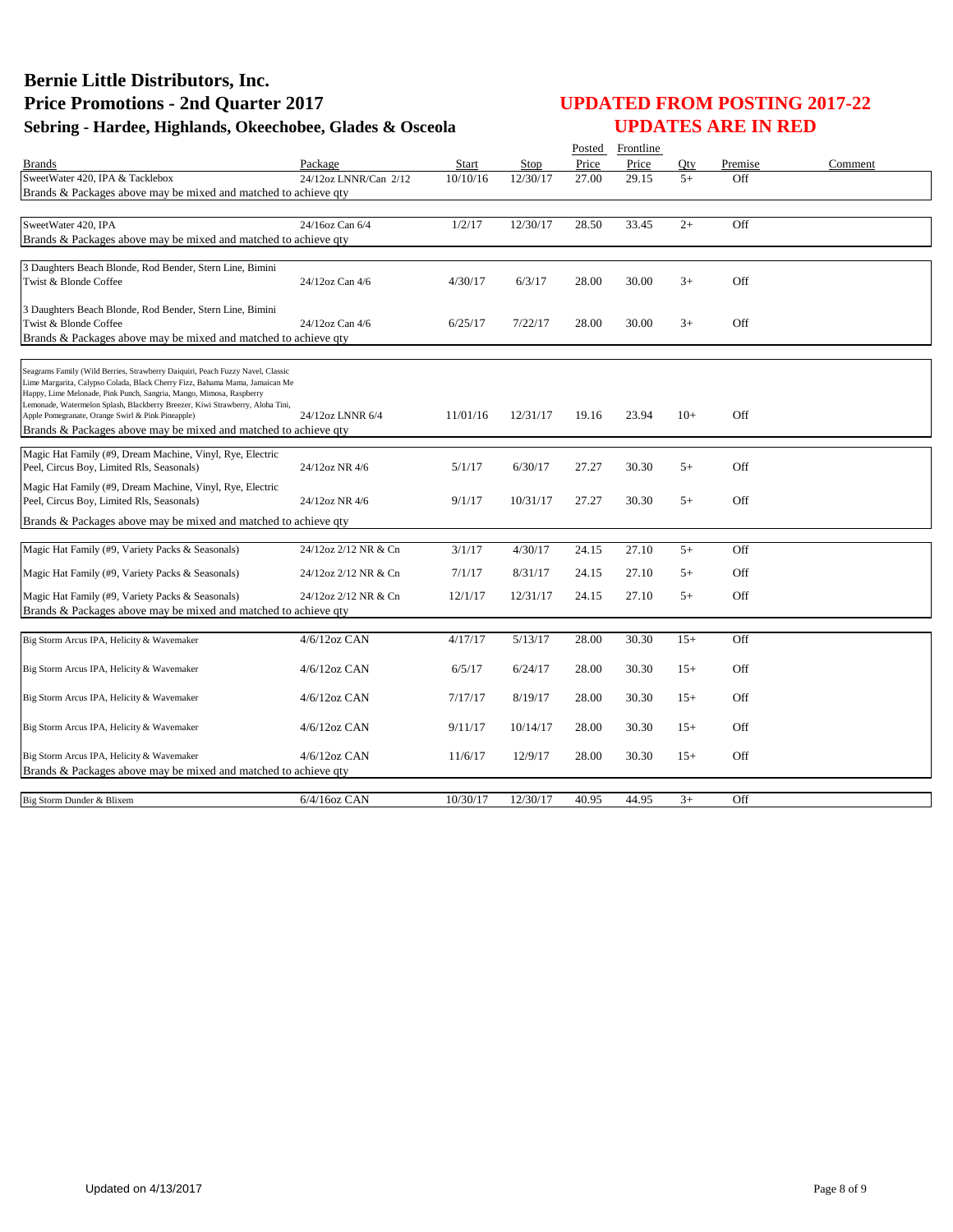|                                                                                                                                                    |                       |              |          |       | Posted Frontline |       |         |         |
|----------------------------------------------------------------------------------------------------------------------------------------------------|-----------------------|--------------|----------|-------|------------------|-------|---------|---------|
| Brands                                                                                                                                             | Package               | <b>Start</b> | Stop     | Price | Price            | Otv   | Premise | Comment |
| SweetWater 420, IPA & Tacklebox                                                                                                                    | 24/12oz LNNR/Can 2/12 | 10/10/16     | 12/30/17 | 27.00 | 29.15            | $5+$  | Off     |         |
| Brands & Packages above may be mixed and matched to achieve gty                                                                                    |                       |              |          |       |                  |       |         |         |
|                                                                                                                                                    |                       |              |          |       |                  |       |         |         |
| SweetWater 420, IPA                                                                                                                                | 24/16oz Can 6/4       | 1/2/17       | 12/30/17 | 28.50 | 33.45            | $2+$  | Off     |         |
| Brands & Packages above may be mixed and matched to achieve qty                                                                                    |                       |              |          |       |                  |       |         |         |
| 3 Daughters Beach Blonde, Rod Bender, Stern Line, Bimini                                                                                           |                       |              |          |       |                  |       |         |         |
| Twist & Blonde Coffee                                                                                                                              | 24/12oz Can 4/6       | 4/30/17      | 6/3/17   | 28.00 | 30.00            | $3+$  | Off     |         |
|                                                                                                                                                    |                       |              |          |       |                  |       |         |         |
| 3 Daughters Beach Blonde, Rod Bender, Stern Line, Bimini                                                                                           |                       |              |          |       |                  |       |         |         |
| Twist & Blonde Coffee                                                                                                                              | 24/12oz Can 4/6       | 6/25/17      | 7/22/17  | 28.00 | 30.00            | $3+$  | Off     |         |
| Brands & Packages above may be mixed and matched to achieve qty                                                                                    |                       |              |          |       |                  |       |         |         |
|                                                                                                                                                    |                       |              |          |       |                  |       |         |         |
| Seagrams Family (Wild Berries, Strawberry Daiquiri, Peach Fuzzy Navel, Classic                                                                     |                       |              |          |       |                  |       |         |         |
| Lime Margarita, Calypso Colada, Black Cherry Fizz, Bahama Mama, Jamaican Me<br>Happy, Lime Melonade, Pink Punch, Sangria, Mango, Mimosa, Raspberry |                       |              |          |       |                  |       |         |         |
| Lemonade, Watermelon Splash, Blackberry Breezer, Kiwi Strawberry, Aloha Tini,                                                                      |                       |              |          |       |                  |       |         |         |
| Apple Pomegranate, Orange Swirl & Pink Pineapple)                                                                                                  | 24/12oz LNNR 6/4      | 11/01/16     | 12/31/17 | 19.16 | 23.94            | $10+$ | Off     |         |
| Brands & Packages above may be mixed and matched to achieve qty                                                                                    |                       |              |          |       |                  |       |         |         |
| Magic Hat Family (#9, Dream Machine, Vinyl, Rye, Electric                                                                                          |                       |              |          |       |                  |       |         |         |
| Peel, Circus Boy, Limited Rls, Seasonals)                                                                                                          | 24/12oz NR 4/6        | 5/1/17       | 6/30/17  | 27.27 | 30.30            | $5+$  | Off     |         |
| Magic Hat Family (#9, Dream Machine, Vinyl, Rye, Electric                                                                                          |                       |              |          |       |                  |       |         |         |
| Peel, Circus Boy, Limited Rls, Seasonals)                                                                                                          | 24/12oz NR 4/6        | 9/1/17       | 10/31/17 | 27.27 | 30.30            | $5+$  | Off     |         |
| Brands & Packages above may be mixed and matched to achieve qty                                                                                    |                       |              |          |       |                  |       |         |         |
|                                                                                                                                                    |                       |              |          |       |                  |       |         |         |
| Magic Hat Family (#9, Variety Packs & Seasonals)                                                                                                   | 24/12oz 2/12 NR & Cn  | 3/1/17       | 4/30/17  | 24.15 | 27.10            | $5+$  | Off     |         |
| Magic Hat Family (#9, Variety Packs & Seasonals)                                                                                                   | 24/12oz 2/12 NR & Cn  | 7/1/17       | 8/31/17  | 24.15 | 27.10            | $5+$  | Off     |         |
|                                                                                                                                                    |                       |              |          |       |                  |       |         |         |
| Magic Hat Family (#9, Variety Packs & Seasonals)                                                                                                   | 24/12oz 2/12 NR & Cn  | 12/1/17      | 12/31/17 | 24.15 | 27.10            | $5+$  | Off     |         |
| Brands & Packages above may be mixed and matched to achieve qty                                                                                    |                       |              |          |       |                  |       |         |         |
| Big Storm Arcus IPA, Helicity & Wavemaker                                                                                                          | 4/6/12oz CAN          | 4/17/17      | 5/13/17  | 28.00 | 30.30            | $15+$ | Off     |         |
|                                                                                                                                                    |                       |              |          |       |                  |       |         |         |
| Big Storm Arcus IPA, Helicity & Wavemaker                                                                                                          | $4/6/12$ oz CAN       | 6/5/17       | 6/24/17  | 28.00 | 30.30            | $15+$ | Off     |         |
|                                                                                                                                                    |                       |              |          |       |                  |       |         |         |
| Big Storm Arcus IPA, Helicity & Wavemaker                                                                                                          | $4/6/12$ oz CAN       | 7/17/17      | 8/19/17  | 28.00 | 30.30            | $15+$ | Off     |         |
|                                                                                                                                                    |                       |              |          |       |                  |       |         |         |
| Big Storm Arcus IPA, Helicity & Wavemaker                                                                                                          | $4/6/12$ oz CAN       | 9/11/17      | 10/14/17 | 28.00 | 30.30            | $15+$ | Off     |         |
|                                                                                                                                                    |                       |              |          |       |                  |       |         |         |
| Big Storm Arcus IPA, Helicity & Wavemaker<br>Brands & Packages above may be mixed and matched to achieve qty                                       | $4/6/12$ oz CAN       | 11/6/17      | 12/9/17  | 28.00 | 30.30            | $15+$ | Off     |         |
|                                                                                                                                                    |                       |              |          |       |                  |       |         |         |
| Big Storm Dunder & Blixem                                                                                                                          | $6/4/16$ oz CAN       | 10/30/17     | 12/30/17 | 40.95 | 44.95            | $3+$  | Off     |         |
|                                                                                                                                                    |                       |              |          |       |                  |       |         |         |